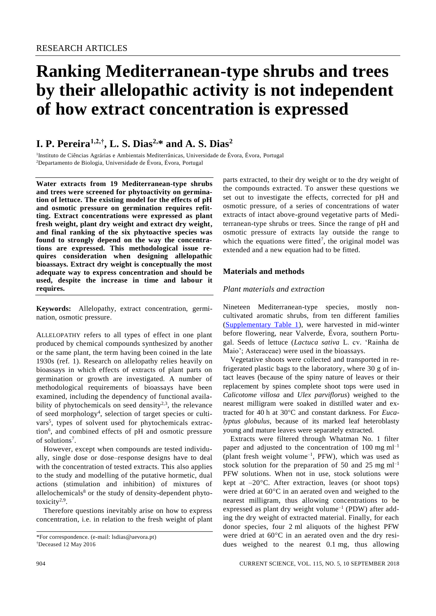# **Ranking Mediterranean-type shrubs and trees by their allelopathic activity is not independent of how extract concentration is expressed**

# **I. P. Pereira1,2,†, L. S. Dias2,\* and A. S. Dias<sup>2</sup>**

1 Instituto de Ciências Agrárias e Ambientais Mediterrânicas, Universidade de Évora, Évora, Portugal <sup>2</sup>Departamento de Biologia, Universidade de Évora, Évora, Portugal

**Water extracts from 19 Mediterranean-type shrubs and trees were screened for phytoactivity on germination of lettuce. The existing model for the effects of pH and osmotic pressure on germination requires refitting. Extract concentrations were expressed as plant fresh weight, plant dry weight and extract dry weight, and final ranking of the six phytoactive species was found to strongly depend on the way the concentrations are expressed. This methodological issue requires consideration when designing allelopathic bioassays. Extract dry weight is conceptually the most adequate way to express concentration and should be used, despite the increase in time and labour it requires.**

**Keywords:** Allelopathy, extract concentration, germination, osmotic pressure.

ALLELOPATHY refers to all types of effect in one plant produced by chemical compounds synthesized by another or the same plant, the term having been coined in the late 1930s (ref. 1). Research on allelopathy relies heavily on bioassays in which effects of extracts of plant parts on germination or growth are investigated. A number of methodological requirements of bioassays have been examined, including the dependency of functional availability of phytochemicals on seed density $2,3$ , the relevance of seed morphology<sup>4</sup>, selection of target species or cultivars<sup>5</sup>, types of solvent used for phytochemicals extraction<sup>6</sup> , and combined effects of pH and osmotic pressure of solutions<sup>7</sup>.

However, except when compounds are tested individually, single dose or dose–response designs have to deal with the concentration of tested extracts. This also applies to the study and modelling of the putative hormetic, dual actions (stimulation and inhibition) of mixtures of allelochemicals $8$  or the study of density-dependent phytotoxicity<sup>2,9</sup>.

Therefore questions inevitably arise on how to express concentration, i.e. in relation to the fresh weight of plant

parts extracted, to their dry weight or to the dry weight of the compounds extracted. To answer these questions we set out to investigate the effects, corrected for pH and osmotic pressure, of a series of concentrations of water extracts of intact above-ground vegetative parts of Mediterranean-type shrubs or trees. Since the range of pH and osmotic pressure of extracts lay outside the range to which the equations were fitted<sup>7</sup>, the original model was extended and a new equation had to be fitted.

# **Materials and methods**

# *Plant materials and extraction*

Nineteen Mediterranean-type species, mostly noncultivated aromatic shrubs, from ten different families [\(Supplementary Table 1\)](http://www.currentscience.ac.in/Volumes/115/05/0904-suppl.pdf), were harvested in mid-winter before flowering, near Valverde, Évora, southern Portugal. Seeds of lettuce (*Lactuca sativa* L. cv. 'Rainha de Maio'; Asteraceae) were used in the bioassays.

Vegetative shoots were collected and transported in refrigerated plastic bags to the laboratory, where 30 g of intact leaves (because of the spiny nature of leaves or their replacement by spines complete shoot tops were used in *Calicotome villosa* and *Ulex parviflorus*) weighed to the nearest milligram were soaked in distilled water and extracted for 40 h at 30°C and constant darkness. For *Eucalyptus globulus*, because of its marked leaf heteroblasty young and mature leaves were separately extracted.

Extracts were filtered through Whatman No. 1 filter paper and adjusted to the concentration of  $100 \text{ mg ml}^{-1}$ (plant fresh weight volume–1 , PFW), which was used as stock solution for the preparation of 50 and 25 mg  $ml^{-1}$ PFW solutions. When not in use, stock solutions were kept at  $-20^{\circ}$ C. After extraction, leaves (or shoot tops) were dried at  $60^{\circ}$ C in an aerated oven and weighed to the nearest milligram, thus allowing concentrations to be expressed as plant dry weight volume<sup>-1</sup> (PDW) after adding the dry weight of extracted material. Finally, for each donor species, four 2 ml aliquots of the highest PFW were dried at  $60^{\circ}$ C in an aerated oven and the dry residues weighed to the nearest 0.1 mg, thus allowing

<sup>\*</sup>For correspondence. (e-mail: lsdias@uevora.pt) †Deceased 12 May 2016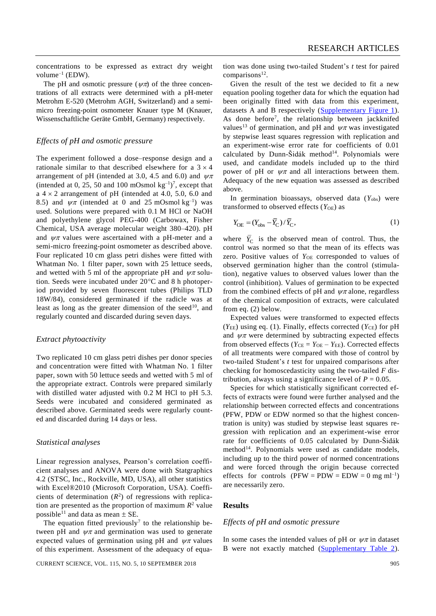concentrations to be expressed as extract dry weight  $volume^{-1}$  (EDW).

The pH and osmotic pressure ( $\psi \pi$ ) of the three concentrations of all extracts were determined with a pH-meter Metrohm E-520 (Metrohm AGH, Switzerland) and a semimicro freezing-point osmometer Knauer type M (Knauer, Wissenschaftliche Geräte GmbH, Germany) respectively.

# *Effects of pH and osmotic pressure*

The experiment followed a dose–response design and a rationale similar to that described elsewhere for a  $3 \times 4$ arrangement of pH (intended at 3.0, 4.5 and 6.0) and  $\nu\pi$ (intended at 0, 25, 50 and 100 mOsmol  $\text{kg}^{-1}$ )<sup>7</sup>, except that a  $4 \times 2$  arrangement of pH (intended at 4.0, 5.0, 6.0 and 8.5) and  $\psi \pi$  (intended at 0 and 25 mOsmol kg<sup>-1</sup>) was used. Solutions were prepared with 0.1 M HCl or NaOH and polyethylene glycol PEG-400 (Carbowax, Fisher Chemical, USA average molecular weight 380–420). pH and  $\nu\pi$  values were ascertained with a pH-meter and a semi-micro freezing-point osmometer as described above. Four replicated 10 cm glass petri dishes were fitted with Whatman No. 1 filter paper, sown with 25 lettuce seeds, and wetted with 5 ml of the appropriate pH and  $\psi \pi$  solution. Seeds were incubated under  $20^{\circ}$ C and 8 h photoperiod provided by seven fluorescent tubes (Philips TLD 18W/84), considered germinated if the radicle was at least as long as the greater dimension of the seed<sup>10</sup>, and regularly counted and discarded during seven days.

#### *Extract phytoactivity*

Two replicated 10 cm glass petri dishes per donor species and concentration were fitted with Whatman No. 1 filter paper, sown with 50 lettuce seeds and wetted with 5 ml of the appropriate extract. Controls were prepared similarly with distilled water adjusted with 0.2 M HCl to pH 5.3. Seeds were incubated and considered germinated as described above. Germinated seeds were regularly counted and discarded during 14 days or less.

#### *Statistical analyses*

Linear regression analyses, Pearson's correlation coefficient analyses and ANOVA were done with Statgraphics 4.2 (STSC, Inc., Rockville, MD, USA), all other statistics with Excel®2010 (Microsoft Corporation, USA). Coefficients of determination  $(R^2)$  of regressions with replication are presented as the proportion of maximum  $R^2$  value possible<sup>11</sup> and data as mean  $\pm$  SE.

The equation fitted previously<sup>7</sup> to the relationship between pH and  $\psi\pi$  and germination was used to generate expected values of germination using pH and  $\psi \pi$  values of this experiment. Assessment of the adequacy of equa-

CURRENT SCIENCE, VOL. 115, NO. 5, 10 SEPTEMBER 2018 905

tion was done using two-tailed Student's *t* test for paired comparisons<sup>12</sup>.

Given the result of the test we decided to fit a new equation pooling together data for which the equation had been originally fitted with data from this experiment, datasets A and B respectively [\(Supplementary Figure 1\)](http://www.currentscience.ac.in/Volumes/115/05/0904-suppl.pdf). As done before<sup>7</sup>, the relationship between jackknifed values<sup>13</sup> of germination, and pH and  $\psi\pi$  was investigated by stepwise least squares regression with replication and an experiment-wise error rate for coefficients of 0.01 calculated by Dunn-Šidák method $14$ . Polynomials were used, and candidate models included up to the third power of pH or  $\psi \pi$  and all interactions between them. Adequacy of the new equation was assessed as described above.

In germination bioassays, observed data  $(Y_{obs})$  were transformed to observed effects (*Y*OE) as

$$
Y_{\text{OE}} = (Y_{\text{obs}} - \overline{Y}_{\text{C}}) / \overline{Y}_{\text{C}},\tag{1}
$$

where  $\overline{Y}_{\text{C}}$  is the observed mean of control. Thus, the control was normed so that the mean of its effects was zero. Positive values of Y<sub>OE</sub> corresponded to values of observed germination higher than the control (stimulation), negative values to observed values lower than the control (inhibition). Values of germination to be expected from the combined effects of pH and  $\psi\pi$  alone, regardless of the chemical composition of extracts, were calculated from eq. (2) below.

Expected values were transformed to expected effects  $(Y_{\text{EE}})$  using eq. (1). Finally, effects corrected  $(Y_{\text{CE}})$  for pH and  $\psi\pi$  were determined by subtracting expected effects from observed effects ( $Y_{CE} = Y_{OE} - Y_{EE}$ ). Corrected effects of all treatments were compared with those of control by two-tailed Student's *t* test for unpaired comparisons after checking for homoscedasticity using the two-tailed *F* distribution, always using a significance level of  $P = 0.05$ .

Species for which statistically significant corrected effects of extracts were found were further analysed and the relationship between corrected effects and concentrations (PFW, PDW or EDW normed so that the highest concentration is unity) was studied by stepwise least squares regression with replication and an experiment-wise error rate for coefficients of 0.05 calculated by Dunn-Šidák method<sup>14</sup>. Polynomials were used as candidate models, including up to the third power of normed concentrations and were forced through the origin because corrected effects for controls  $(PFW = PDW = EDW = 0$  mg ml<sup>-1</sup>) are necessarily zero.

# **Results**

#### *Effects of pH and osmotic pressure*

In some cases the intended values of pH or  $\psi\pi$  in dataset B were not exactly matched [\(Supplementary Table 2\)](http://www.currentscience.ac.in/Volumes/115/05/0904-suppl.pdf).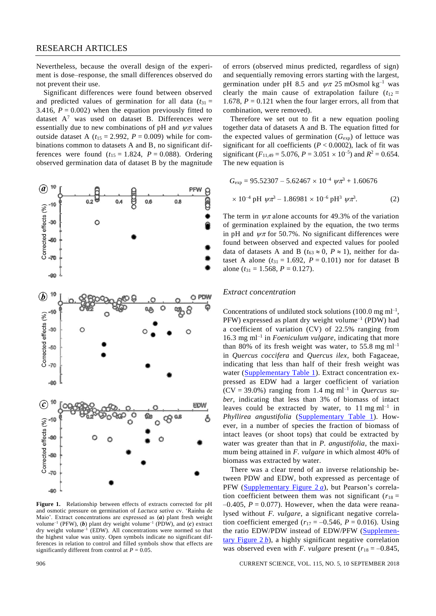# RESEARCH ARTICLES

Nevertheless, because the overall design of the experiment is dose–response, the small differences observed do not prevent their use.

Significant differences were found between observed and predicted values of germination for all data  $(t_{31} =$ 3.416,  $P = 0.002$ ) when the equation previously fitted to dataset  $A^7$  was used on dataset B. Differences were essentially due to new combinations of pH and  $\psi \pi$  values outside dataset A  $(t_{15} = 2.992, P = 0.009)$  while for combinations common to datasets A and B, no significant differences were found  $(t_{15} = 1.824, P = 0.088)$ . Ordering observed germination data of dataset B by the magnitude



**Figure 1.** Relationship between effects of extracts corrected for pH and osmotic pressure on germination of *Lactuca sativa* cv. 'Rainha de Maio'. Extract concentrations are expressed as (*a*) plant fresh weight volume<sup>-1</sup> (PFW), (b) plant dry weight volume<sup>-1</sup> (PDW), and (c) extract dry weight volume<sup>-1</sup> (EDW). All concentrations were normed so that the highest value was unity. Open symbols indicate no significant differences in relation to control and filled symbols show that effects are significantly different from control at  $P = 0.05$ .

of errors (observed minus predicted, regardless of sign) and sequentially removing errors starting with the largest, germination under pH 8.5 and  $\psi \pi$  25 mOsmol kg<sup>-1</sup> was clearly the main cause of extrapolation failure  $(t_{12} =$ 1.678,  $P = 0.121$  when the four larger errors, all from that combination, were removed).

Therefore we set out to fit a new equation pooling together data of datasets A and B. The equation fitted for the expected values of germination  $(G_{exp})$  of lettuce was significant for all coefficients  $(P < 0.0002)$ , lack of fit was significant ( $F_{11,49} = 5.076$ ,  $P = 3.051 \times 10^{-5}$ ) and  $R^2 = 0.654$ . The new equation is

$$
G_{\text{exp}} = 95.52307 - 5.62467 \times 10^{-4} \text{ }\psi \pi^3 + 1.60676
$$
  
× 10<sup>-4</sup> pH  $\psi \pi^3 - 1.86981 \times 10^{-6}$  pH<sup>3</sup>  $\psi \pi^3$ . (2)

The term in  $\psi \pi$  alone accounts for 49.3% of the variation of germination explained by the equation, the two terms in pH and  $\psi \pi$  for 50.7%. No significant differences were found between observed and expected values for pooled data of datasets A and B ( $t_{63} \approx 0$ ,  $P \approx 1$ ), neither for dataset A alone ( $t_{31} = 1.692$ ,  $P = 0.101$ ) nor for dataset B alone ( $t_{31} = 1.568$ ,  $P = 0.127$ ).

#### *Extract concentration*

Concentrations of undiluted stock solutions  $(100.0 \text{ mg ml}^{-1})$ ,  $PFW$ ) expressed as plant dry weight volume<sup>-1</sup> (PDW) had a coefficient of variation (CV) of 22.5% ranging from 16.3 mg ml –1 in *Foeniculum vulgare*, indicating that more than 80% of its fresh weight was water, to 55.8 mg  $ml^{-1}$ in *Quercus coccifera* and *Quercus ilex*, both Fagaceae, indicating that less than half of their fresh weight was water [\(Supplementary Table 1\)](http://www.currentscience.ac.in/Volumes/115/05/0904-suppl.pdf). Extract concentration expressed as EDW had a larger coefficient of variation  $(CV = 39.0\%)$  ranging from 1.4 mg ml<sup>-1</sup> in *Quercus suber*, indicating that less than 3% of biomass of intact leaves could be extracted by water, to  $11 \text{ mg ml}^{-1}$  in *Phyllirea angustifolia* [\(Supplementary Table 1\)](http://www.currentscience.ac.in/Volumes/115/05/0904-suppl.pdf). However, in a number of species the fraction of biomass of intact leaves (or shoot tops) that could be extracted by water was greater than that in *P. angustifolia*, the maximum being attained in *F. vulgare* in which almost 40% of biomass was extracted by water.

There was a clear trend of an inverse relationship between PDW and EDW, both expressed as percentage of PFW [\(Supplementary Figure 2](http://www.currentscience.ac.in/Volumes/115/05/0904-suppl.pdf) *a*), but Pearson's correlation coefficient between them was not significant ( $r_{18}$  =  $-0.405$ ,  $P = 0.077$ ). However, when the data were reanalysed without *F. vulgare*, a significant negative correlation coefficient emerged ( $r_{17} = -0.546$ ,  $P = 0.016$ ). Using the ratio EDW/PDW instead of EDW/PFW [\(Supplemen](http://www.currentscience.ac.in/Volumes/115/05/0904-suppl.pdf)[tary Figure 2](http://www.currentscience.ac.in/Volumes/115/05/0904-suppl.pdf) *b*), a highly significant negative correlation was observed even with *F. vulgare* present ( $r_{18} = -0.845$ ,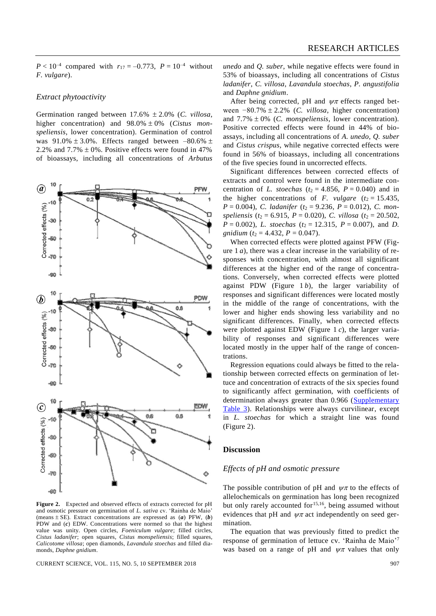$P < 10^{-4}$  compared with  $r_{17} = -0.773$ ,  $P = 10^{-4}$  without *F. vulgare*).

#### *Extract phytoactivity*

Germination ranged between 17.6% 2.0% (*C. villosa*, higher concentration) and  $98.0\% \pm 0\%$  (*Cistus monspeliensis*, lower concentration). Germination of control was  $91.0\% \pm 3.0\%$ . Effects ranged between  $-80.6\% \pm$ 2.2% and  $7.7\% \pm 0\%$ . Positive effects were found in 47% of bioassays, including all concentrations of *Arbutus*



**Figure 2.** Expected and observed effects of extracts corrected for pH and osmotic pressure on germination of *L. sativa* cv. 'Rainha de Maio' (means  $\pm$  SE). Extract concentrations are expressed as (*a*) PFW, (*b*) PDW and (*c*) EDW. Concentrations were normed so that the highest value was unity. Open circles, *Foeniculum vulgare*; filled circles, *Cistus ladanifer*; open squares, *Cistus monspeliensis*; filled squares, *Calicotome villosa*; open diamonds, *Lavandula stoechas* and filled diamonds, *Daphne gnidium*.

CURRENT SCIENCE, VOL. 115, NO. 5, 10 SEPTEMBER 2018 907

*unedo* and *Q. suber*, while negative effects were found in 53% of bioassays, including all concentrations of *Cistus ladanifer*, *C. villosa*, *Lavandula stoechas*, *P. angustifolia* and *Daphne gnidium*.

After being corrected, pH and  $\psi \pi$  effects ranged between −80.7% 2.2% (*C. villosa*, higher concentration) and  $7.7\% \pm 0\%$  (*C. monspeliensis*, lower concentration). Positive corrected effects were found in 44% of bioassays, including all concentrations of *A. unedo*, *Q. suber*  and *Cistus crispus*, while negative corrected effects were found in 56% of bioassays, including all concentrations of the five species found in uncorrected effects.

Significant differences between corrected effects of extracts and control were found in the intermediate concentration of *L. stoechas* ( $t_2 = 4.856$ ,  $P = 0.040$ ) and in the higher concentrations of *F. vulgare*  $(t_2 = 15.435)$ ,  $P = 0.004$ , *C. ladanifer* ( $t_2 = 9.236$ ,  $P = 0.012$ ), *C. monspeliensis* ( $t_2 = 6.915$ ,  $P = 0.020$ ), *C. villosa* ( $t_2 = 20.502$ ,  $P = 0.002$ , *L. stoechas* ( $t_2 = 12.315$ ,  $P = 0.007$ ), and *D*. *gnidium* ( $t_2 = 4.432$ ,  $P = 0.047$ ).

When corrected effects were plotted against PFW (Figure 1 *a*), there was a clear increase in the variability of responses with concentration, with almost all significant differences at the higher end of the range of concentrations. Conversely, when corrected effects were plotted against PDW (Figure 1 *b*), the larger variability of responses and significant differences were located mostly in the middle of the range of concentrations, with the lower and higher ends showing less variability and no significant differences. Finally, when corrected effects were plotted against EDW (Figure 1 *c*), the larger variability of responses and significant differences were located mostly in the upper half of the range of concentrations.

Regression equations could always be fitted to the relationship between corrected effects on germination of lettuce and concentration of extracts of the six species found to significantly affect germination, with coefficients of determination always greater than 0.966 [\(Supplementary](http://www.currentscience.ac.in/Volumes/115/05/0904-suppl.pdf)  [Table](http://www.currentscience.ac.in/Volumes/115/05/0904-suppl.pdf) 3). Relationships were always curvilinear, except in *L. stoechas* for which a straight line was found (Figure 2).

#### **Discussion**

#### *Effects of pH and osmotic pressure*

The possible contribution of pH and  $\psi\pi$  to the effects of allelochemicals on germination has long been recognized but only rarely accounted for<sup>15,16</sup>, being assumed without evidences that pH and  $\psi \pi$  act independently on seed germination.

The equation that was previously fitted to predict the response of germination of lettuce cv. 'Rainha de Maio'<sup>7</sup> was based on a range of pH and  $\psi\pi$  values that only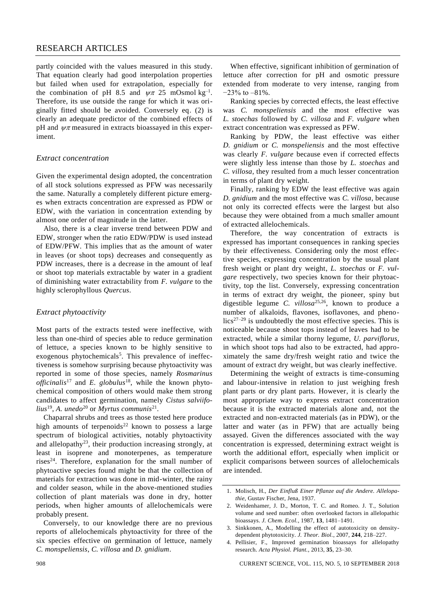# RESEARCH ARTICLES

partly coincided with the values measured in this study. That equation clearly had good interpolation properties but failed when used for extrapolation, especially for the combination of pH 8.5 and  $\psi \pi$  25 mOsmol kg<sup>-1</sup>. Therefore, its use outside the range for which it was originally fitted should be avoided. Conversely eq. (2) is clearly an adequate predictor of the combined effects of pH and  $\psi\pi$  measured in extracts bioassayed in this experiment.

# *Extract concentration*

Given the experimental design adopted, the concentration of all stock solutions expressed as PFW was necessarily the same. Naturally a completely different picture emerges when extracts concentration are expressed as PDW or EDW, with the variation in concentration extending by almost one order of magnitude in the latter.

Also, there is a clear inverse trend between PDW and EDW, stronger when the ratio EDW/PDW is used instead of EDW/PFW. This implies that as the amount of water in leaves (or shoot tops) decreases and consequently as PDW increases, there is a decrease in the amount of leaf or shoot top materials extractable by water in a gradient of diminishing water extractability from *F. vulgare* to the highly sclerophyllous *Quercus*.

#### *Extract phytoactivity*

Most parts of the extracts tested were ineffective, with less than one-third of species able to reduce germination of lettuce, a species known to be highly sensitive to exogenous phytochemicals<sup>5</sup>. This prevalence of ineffectiveness is somehow surprising because phytoactivity was reported in some of those species, namely *Rosmarinus officinalis*<sup>17</sup> and *E. globulus*<sup>18</sup>, while the known phytochemical composition of others would make them strong candidates to affect germination, namely *Cistus salviifolius*<sup>19</sup> , *A. unedo*<sup>20</sup> or *Myrtus communis*<sup>21</sup> .

Chaparral shrubs and trees as those tested here produce high amounts of terpenoids<sup>22</sup> known to possess a large spectrum of biological activities, notably phytoactivity and allelopathy<sup>23</sup>, their production increasing strongly, at least in isoprene and monoterpenes, as temperature rises<sup>24</sup>. Therefore, explanation for the small number of phytoactive species found might be that the collection of materials for extraction was done in mid-winter, the rainy and colder season, while in the above-mentioned studies collection of plant materials was done in dry, hotter periods, when higher amounts of allelochemicals were probably present.

Conversely, to our knowledge there are no previous reports of allelochemicals phytoactivity for three of the six species effective on germination of lettuce, namely *C. monspeliensis*, *C. villosa* and *D. gnidium*.

When effective, significant inhibition of germination of lettuce after correction for pH and osmotic pressure extended from moderate to very intense, ranging from −23% to –81%.

Ranking species by corrected effects, the least effective was *C. monspeliensis* and the most effective was *L. stoechas* followed by *C. villosa* and *F. vulgare* when extract concentration was expressed as PFW.

Ranking by PDW, the least effective was either *D. gnidium* or *C. monspeliensis* and the most effective was clearly *F. vulgare* because even if corrected effects were slightly less intense than those by *L. stoechas* and *C. villosa*, they resulted from a much lesser concentration in terms of plant dry weight.

Finally, ranking by EDW the least effective was again *D. gnidium* and the most effective was *C. villosa*, because not only its corrected effects were the largest but also because they were obtained from a much smaller amount of extracted allelochemicals.

Therefore, the way concentration of extracts is expressed has important consequences in ranking species by their effectiveness. Considering only the most effective species, expressing concentration by the usual plant fresh weight or plant dry weight, *L. stoechas* or *F. vulgare* respectively, two species known for their phytoactivity, top the list. Conversely, expressing concentration in terms of extract dry weight, the pioneer, spiny but digestible legume *C. villosa*25,26, known to produce a number of alkaloids, flavones, isoflavones, and pheno- $\arccos(27-29)$  is undoubtedly the most effective species. This is noticeable because shoot tops instead of leaves had to be extracted, while a similar thorny legume, *U. parviflorus*, in which shoot tops had also to be extracted, had approximately the same dry/fresh weight ratio and twice the amount of extract dry weight, but was clearly ineffective.

Determining the weight of extracts is time-consuming and labour-intensive in relation to just weighing fresh plant parts or dry plant parts. However, it is clearly the most appropriate way to express extract concentration because it is the extracted materials alone and, not the extracted and non-extracted materials (as in PDW), or the latter and water (as in PFW) that are actually being assayed. Given the differences associated with the way concentration is expressed, determining extract weight is worth the additional effort, especially when implicit or explicit comparisons between sources of allelochemicals are intended.

- 3. Sinkkonen, A., Modelling the effect of autotoxicity on densitydependent phytotoxicity. *J. Theor. Biol.*, 2007, **244**, 218–227.
- 4. Pellisier, F., Improved germination bioassays for allelopathy research. *Acta Physiol. Plant.*, 2013, **35**, 23–30.

908 CURRENT SCIENCE, VOL. 115, NO. 5, 10 SEPTEMBER 2018

<sup>1.</sup> Molisch, H., *Der Einfluß Einer Pflanze auf die Andere. Allelopathie*, Gustav Fischer, Jena, 1937.

<sup>2.</sup> Weidenhamer, J. D., Morton, T. C. and Romeo. J. T., Solution volume and seed number: often overlooked factors in allelopathic bioassays. *J. Chem. Ecol.*, 1987, **13**, 1481–1491.